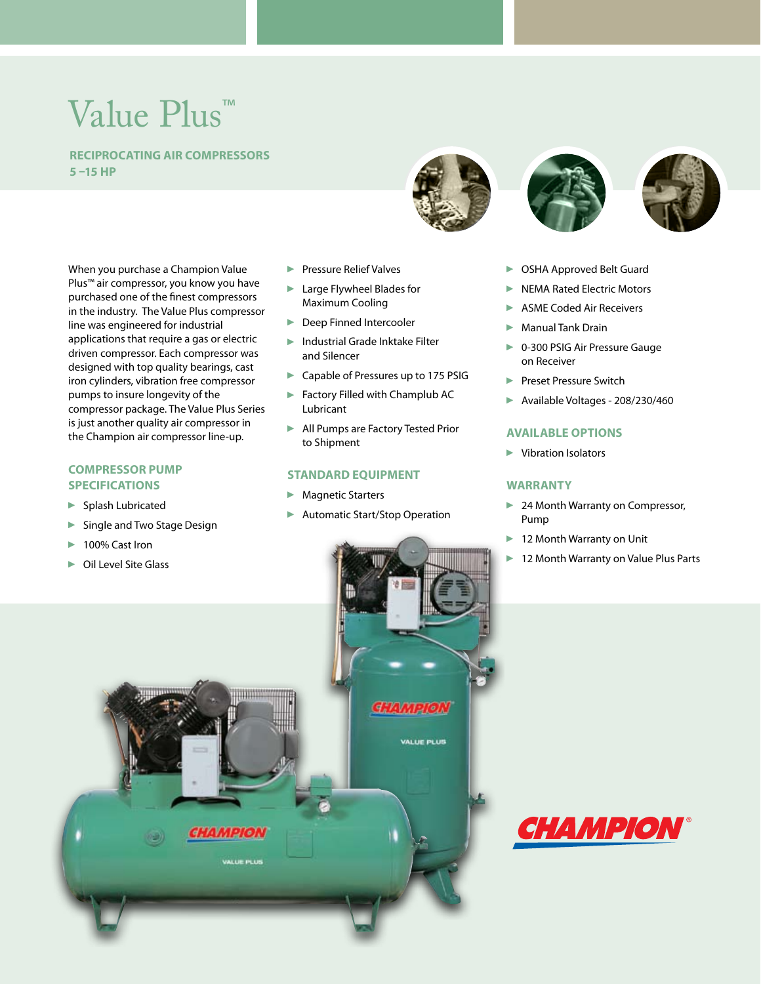# Value Plus™

 **Reciprocating Air Compressors 5 –15 HP**

When you purchase a Champion Value Plus™ air compressor, you know you have purchased one of the finest compressors in the industry. The Value Plus compressor line was engineered for industrial applications that require a gas or electric driven compressor. Each compressor was designed with top quality bearings, cast iron cylinders, vibration free compressor pumps to insure longevity of the compressor package. The Value Plus Series is just another quality air compressor in the Champion air compressor line-up.

## **Compressor Pump Specifications**

- **Splash Lubricated**
- **Single and Two Stage Design**
- 100% Cast Iron
- **Pressure Relief Valves**
- **Large Flywheel Blades for** Maximum Cooling
- **Deep Finned Intercooler**
- ▶ Industrial Grade Inktake Filter and Silencer
- ▶ Capable of Pressures up to 175 PSIG
- **Factory Filled with Champlub AC** Lubricant
- ▶ All Pumps are Factory Tested Prior to Shipment

#### **Standard Equipment**

- **Magnetic Starters**
- ▶ Automatic Start/Stop Operation







- ▶ OSHA Approved Belt Guard
- NEMA Rated Electric Motors
- ASME Coded Air Receivers
- Manual Tank Drain
- ▶ 0-300 PSIG Air Pressure Gauge on Receiver
- Preset Pressure Switch
- Available Voltages 208/230/460

#### **Available Options**

▶ Vibration Isolators

### **Warranty**

- ▶ 24 Month Warranty on Compressor, Pump
- ▶ 12 Month Warranty on Unit
- ▶ 12 Month Warranty on Value Plus Parts